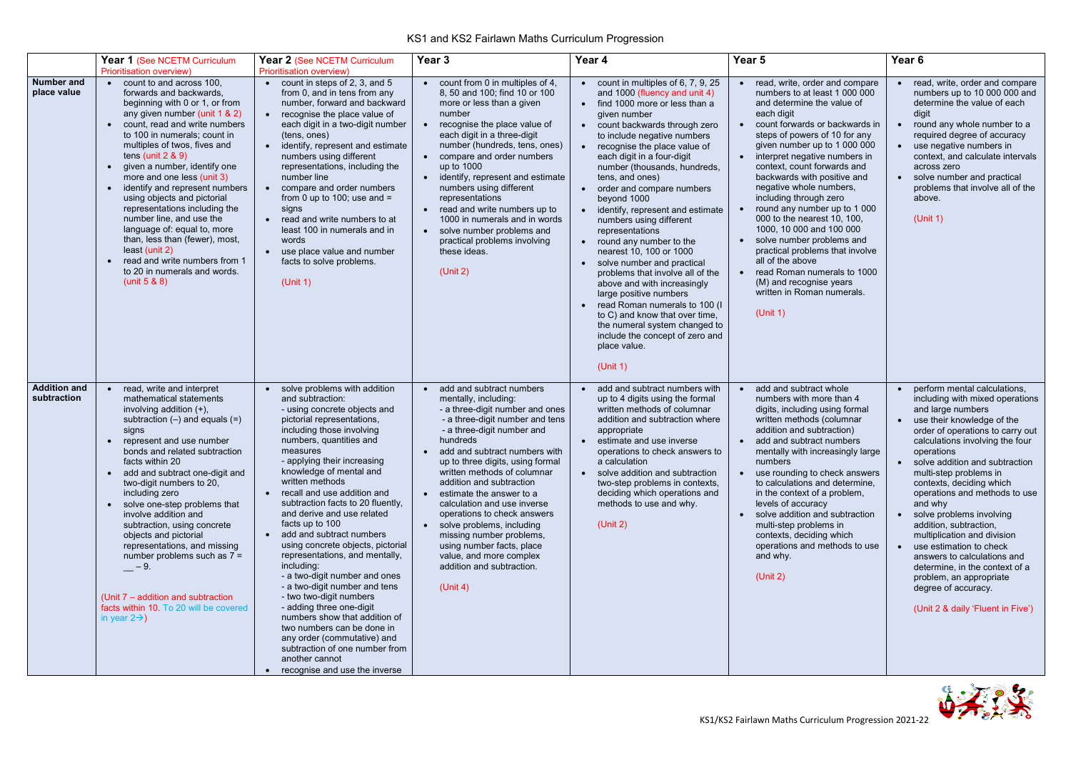

## KS1 and KS2 Fairlawn Maths Curriculum Progression

|                                    | Year 1 (See NCETM Curriculum<br><b>Prioritisation overview)</b>                                                                                                                                                                                                                                                                                                                                                                                                                                                                                                                                                                  | Year 2 (See NCETM Curriculum<br><b>Prioritisation overview)</b>                                                                                                                                                                                                                                                                                                                                                                                                                                                                                                                                                                                                                                                                                                                                                   | Year <sub>3</sub>                                                                                                                                                                                                                                                                                                                                                                                                                                                                                                                                                                             | Year 4                                                                                                                                                                                                                                                                                                                                                                                                                                                                                                                                                                                                                                                                                                                                                                                                  | Year <sub>5</sub>                                                                                                                                                                                                                                                                                                                                                                                                                                                                                                                                                                                                                                                                                                      | Year <sub>6</sub>                                                                                                                                                                                                                                                                                                                                                                                                                                                                                                                                                                                                         |
|------------------------------------|----------------------------------------------------------------------------------------------------------------------------------------------------------------------------------------------------------------------------------------------------------------------------------------------------------------------------------------------------------------------------------------------------------------------------------------------------------------------------------------------------------------------------------------------------------------------------------------------------------------------------------|-------------------------------------------------------------------------------------------------------------------------------------------------------------------------------------------------------------------------------------------------------------------------------------------------------------------------------------------------------------------------------------------------------------------------------------------------------------------------------------------------------------------------------------------------------------------------------------------------------------------------------------------------------------------------------------------------------------------------------------------------------------------------------------------------------------------|-----------------------------------------------------------------------------------------------------------------------------------------------------------------------------------------------------------------------------------------------------------------------------------------------------------------------------------------------------------------------------------------------------------------------------------------------------------------------------------------------------------------------------------------------------------------------------------------------|---------------------------------------------------------------------------------------------------------------------------------------------------------------------------------------------------------------------------------------------------------------------------------------------------------------------------------------------------------------------------------------------------------------------------------------------------------------------------------------------------------------------------------------------------------------------------------------------------------------------------------------------------------------------------------------------------------------------------------------------------------------------------------------------------------|------------------------------------------------------------------------------------------------------------------------------------------------------------------------------------------------------------------------------------------------------------------------------------------------------------------------------------------------------------------------------------------------------------------------------------------------------------------------------------------------------------------------------------------------------------------------------------------------------------------------------------------------------------------------------------------------------------------------|---------------------------------------------------------------------------------------------------------------------------------------------------------------------------------------------------------------------------------------------------------------------------------------------------------------------------------------------------------------------------------------------------------------------------------------------------------------------------------------------------------------------------------------------------------------------------------------------------------------------------|
| Number and<br>place value          | count to and across 100.<br>$\bullet$<br>forwards and backwards,<br>beginning with 0 or 1, or from<br>any given number (unit 1 & 2)<br>count, read and write numbers<br>to 100 in numerals; count in<br>multiples of twos, fives and<br>tens (unit $2 & 9$ )<br>given a number, identify one<br>more and one less (unit 3)<br>identify and represent numbers<br>using objects and pictorial<br>representations including the<br>number line, and use the<br>language of: equal to, more<br>than, less than (fewer), most,<br>least (unit 2)<br>read and write numbers from 1<br>to 20 in numerals and words.<br>(unit $5 & 80$ ) | count in steps of 2, 3, and 5<br>from 0, and in tens from any<br>number, forward and backward<br>recognise the place value of<br>each digit in a two-digit number<br>(tens, ones)<br>identify, represent and estimate<br>numbers using different<br>representations, including the<br>number line<br>compare and order numbers<br>from 0 up to 100; use and $=$<br>signs<br>read and write numbers to at<br>least 100 in numerals and in<br>words<br>use place value and number<br>$\bullet$<br>facts to solve problems.<br>(Unit 1)                                                                                                                                                                                                                                                                              | count from 0 in multiples of 4.<br>8, 50 and 100; find 10 or 100<br>more or less than a given<br>number<br>recognise the place value of<br>each digit in a three-digit<br>number (hundreds, tens, ones)<br>compare and order numbers<br>$\bullet$<br>up to 1000<br>identify, represent and estimate<br>$\bullet$<br>numbers using different<br>representations<br>read and write numbers up to<br>$\bullet$<br>1000 in numerals and in words<br>solve number problems and<br>$\bullet$<br>practical problems involving<br>these ideas.<br>(Unit 2)                                            | $\bullet$ count in multiples of 6, 7, 9, 25<br>and 1000 (fluency and unit 4)<br>• find 1000 more or less than a<br>given number<br>• count backwards through zero<br>to include negative numbers<br>recognise the place value of<br>each digit in a four-digit<br>number (thousands, hundreds,<br>tens, and ones)<br>• order and compare numbers<br>beyond 1000<br>identify, represent and estimate<br>numbers using different<br>representations<br>• round any number to the<br>nearest 10, 100 or 1000<br>solve number and practical<br>problems that involve all of the<br>above and with increasingly<br>large positive numbers<br>read Roman numerals to 100 (I<br>to C) and know that over time,<br>the numeral system changed to<br>include the concept of zero and<br>place value.<br>(Unit 1) | read, write, order and compare<br>$\bullet$<br>numbers to at least 1 000 000<br>and determine the value of<br>each digit<br>count forwards or backwards in<br>steps of powers of 10 for any<br>given number up to 1 000 000<br>interpret negative numbers in<br>$\bullet$<br>context, count forwards and<br>backwards with positive and<br>negative whole numbers,<br>including through zero<br>round any number up to 1 000<br>$\bullet$<br>000 to the nearest 10, 100,<br>1000, 10 000 and 100 000<br>solve number problems and<br>$\bullet$<br>practical problems that involve<br>all of the above<br>read Roman numerals to 1000<br>$\bullet$<br>(M) and recognise years<br>written in Roman numerals.<br>(Unit 1) | • read, write, order and compare<br>numbers up to 10 000 000 and<br>determine the value of each<br>digit<br>• round any whole number to a<br>required degree of accuracy<br>• use negative numbers in<br>context, and calculate intervals<br>across zero<br>• solve number and practical<br>problems that involve all of the<br>above.<br>(Unit 1)                                                                                                                                                                                                                                                                        |
| <b>Addition and</b><br>subtraction | read, write and interpret<br>mathematical statements<br>involving addition $(+)$ ,<br>subtraction $(-)$ and equals $(=)$<br>signs<br>represent and use number<br>bonds and related subtraction<br>facts within 20<br>add and subtract one-digit and<br>two-digit numbers to 20,<br>including zero<br>solve one-step problems that<br>involve addition and<br>subtraction, using concrete<br>objects and pictorial<br>representations, and missing<br>number problems such as $7 =$<br>$-$ - 9.<br>(Unit 7 – addition and subtraction<br>facts within 10. To 20 will be covered<br>in year $2\rightarrow$ )                       | solve problems with addition<br>and subtraction:<br>- using concrete objects and<br>pictorial representations,<br>including those involving<br>numbers, quantities and<br>measures<br>- applying their increasing<br>knowledge of mental and<br>written methods<br>recall and use addition and<br>subtraction facts to 20 fluently,<br>and derive and use related<br>facts up to 100<br>add and subtract numbers<br>using concrete objects, pictorial<br>representations, and mentally,<br>including:<br>- a two-digit number and ones<br>- a two-digit number and tens<br>- two two-digit numbers<br>- adding three one-digit<br>numbers show that addition of<br>two numbers can be done in<br>any order (commutative) and<br>subtraction of one number from<br>another cannot<br>recognise and use the inverse | add and subtract numbers<br>$\bullet$<br>mentally, including:<br>- a three-digit number and ones<br>- a three-digit number and tens<br>- a three-digit number and<br>hundreds<br>add and subtract numbers with<br>$\bullet$<br>up to three digits, using formal<br>written methods of columnar<br>addition and subtraction<br>estimate the answer to a<br>$\bullet$<br>calculation and use inverse<br>operations to check answers<br>• solve problems, including<br>missing number problems,<br>using number facts, place<br>value, and more complex<br>addition and subtraction.<br>(Unit 4) | add and subtract numbers with<br>$\bullet$<br>up to 4 digits using the formal<br>written methods of columnar<br>addition and subtraction where<br>appropriate<br>estimate and use inverse<br>operations to check answers to<br>a calculation<br>solve addition and subtraction<br>$\bullet$<br>two-step problems in contexts,<br>deciding which operations and<br>methods to use and why.<br>(Unit 2)                                                                                                                                                                                                                                                                                                                                                                                                   | add and subtract whole<br>$\bullet$<br>numbers with more than 4<br>digits, including using formal<br>written methods (columnar<br>addition and subtraction)<br>add and subtract numbers<br>mentally with increasingly large<br>numbers<br>use rounding to check answers<br>$\bullet$<br>to calculations and determine,<br>in the context of a problem,<br>levels of accuracy<br>solve addition and subtraction<br>multi-step problems in<br>contexts, deciding which<br>operations and methods to use<br>and why.<br>(Unit 2)                                                                                                                                                                                          | perform mental calculations,<br>including with mixed operations<br>and large numbers<br>• use their knowledge of the<br>order of operations to carry out<br>calculations involving the four<br>operations<br>• solve addition and subtraction<br>multi-step problems in<br>contexts, deciding which<br>operations and methods to use<br>and why<br>solve problems involving<br>addition, subtraction,<br>multiplication and division<br>• use estimation to check<br>answers to calculations and<br>determine, in the context of a<br>problem, an appropriate<br>degree of accuracy.<br>(Unit 2 & daily 'Fluent in Five') |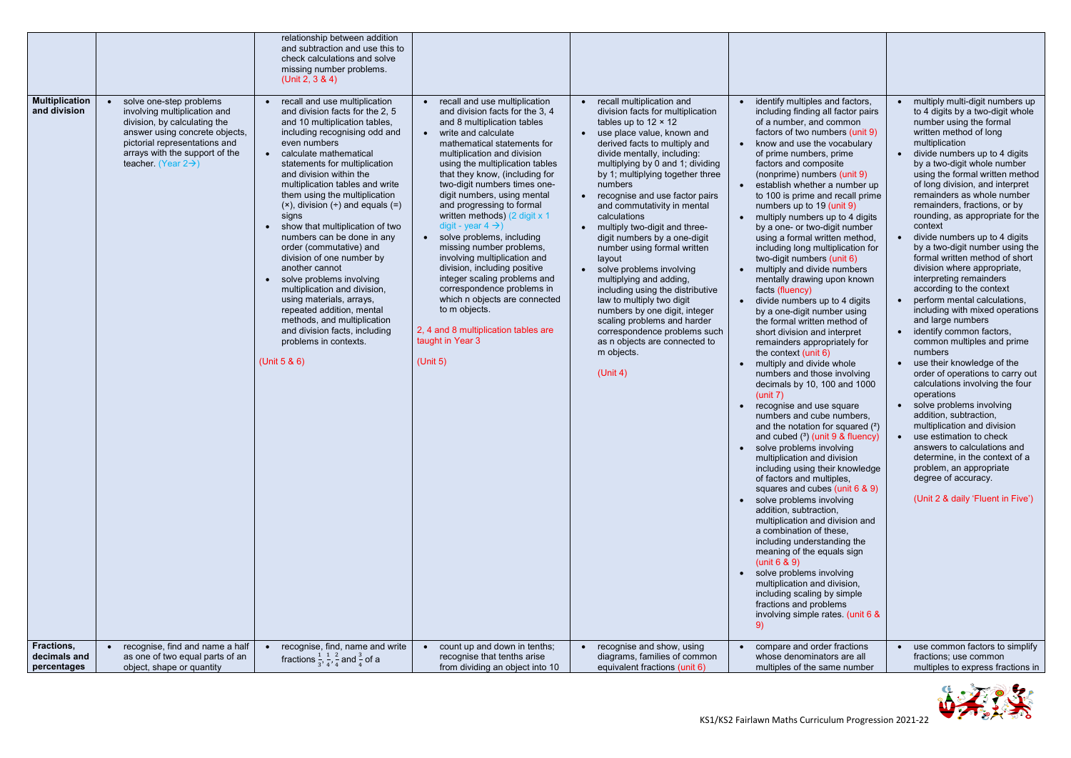

| <b>Multiplication</b><br>and division<br>Fractions, | solve one-step problems<br>$\bullet$<br>involving multiplication and<br>division, by calculating the<br>answer using concrete objects,<br>pictorial representations and<br>arrays with the support of the<br>teacher. (Year $2\rightarrow$ )<br>recognise, find and name a half | relationship between addition<br>and subtraction and use this to<br>check calculations and solve<br>missing number problems.<br>(Unit 2, $3 & 4$ )<br>recall and use multiplication<br>and division facts for the 2, 5<br>and 10 multiplication tables,<br>including recognising odd and<br>even numbers<br>calculate mathematical<br>statements for multiplication<br>and division within the<br>multiplication tables and write<br>them using the multiplication<br>$(x)$ , division $(+)$ and equals $(=)$<br>signs<br>show that multiplication of two<br>numbers can be done in any<br>order (commutative) and<br>division of one number by<br>another cannot<br>solve problems involving<br>multiplication and division,<br>using materials, arrays,<br>repeated addition, mental<br>methods, and multiplication<br>and division facts, including<br>problems in contexts.<br>(Unit $5 & 6$ )<br>recognise, find, name and write | recall and use multiplication<br>and division facts for the 3, 4<br>and 8 multiplication tables<br>write and calculate<br>$\bullet$<br>mathematical statements for<br>multiplication and division<br>using the multiplication tables<br>that they know, (including for<br>two-digit numbers times one-<br>digit numbers, using mental<br>and progressing to formal<br>written methods) (2 digit x 1<br>digit - year $4 \rightarrow$ )<br>solve problems, including<br>missing number problems,<br>involving multiplication and<br>division, including positive<br>integer scaling problems and<br>correspondence problems in<br>which n objects are connected<br>to m objects.<br>2, 4 and 8 multiplication tables are<br>taught in Year 3<br>(Unit 5)<br>count up and down in tenths; | • recall multiplication and<br>division facts for multiplication<br>tables up to $12 \times 12$<br>• use place value, known and<br>derived facts to multiply and<br>divide mentally, including:<br>multiplying by 0 and 1; dividing<br>by 1; multiplying together three<br>numbers<br>recognise and use factor pairs<br>and commutativity in mental<br>calculations<br>• multiply two-digit and three-<br>digit numbers by a one-digit<br>number using formal written<br>layout<br>• solve problems involving<br>multiplying and adding,<br>including using the distributive<br>law to multiply two digit<br>numbers by one digit, integer<br>scaling problems and harder<br>correspondence problems such<br>as n objects are connected to<br>m objects.<br>(Unit 4)<br>• recognise and show, using | identify multiples and factors,<br>including finding all factor pairs<br>of a number, and common<br>factors of two numbers (unit 9)<br>• know and use the vocabulary<br>of prime numbers, prime<br>factors and composite<br>(nonprime) numbers (unit 9)<br>establish whether a number up<br>$\bullet$<br>to 100 is prime and recall prime<br>numbers up to 19 (unit 9)<br>multiply numbers up to 4 digits<br>by a one- or two-digit number<br>using a formal written method,<br>including long multiplication for<br>two-digit numbers (unit 6)<br>multiply and divide numbers<br>$\bullet$<br>mentally drawing upon known<br>facts (fluency)<br>divide numbers up to 4 digits<br>by a one-digit number using<br>the formal written method of<br>short division and interpret<br>remainders appropriately for<br>the context (unit $6$ )<br>multiply and divide whole<br>$\bullet$<br>numbers and those involving<br>decimals by 10, 100 and 1000<br>(unit 7)<br>recognise and use square<br>$\bullet$<br>numbers and cube numbers,<br>and the notation for squared $(2)$<br>and cubed $(3)$ (unit 9 & fluency)<br>• solve problems involving<br>multiplication and division<br>including using their knowledge<br>of factors and multiples,<br>squares and cubes (unit 6 & 9)<br>solve problems involving<br>addition, subtraction,<br>multiplication and division and<br>a combination of these,<br>including understanding the<br>meaning of the equals sign<br>(unit $6 & 9$ )<br>solve problems involving<br>multiplication and division,<br>including scaling by simple<br>fractions and problems<br>involving simple rates. (unit 6 &<br>9)<br>compare and order fractions | multiply multi-digit numbers up<br>to 4 digits by a two-digit whole<br>number using the formal<br>written method of long<br>multiplication<br>divide numbers up to 4 digits<br>$\bullet$<br>by a two-digit whole number<br>using the formal written method<br>of long division, and interpret<br>remainders as whole number<br>remainders, fractions, or by<br>rounding, as appropriate for the<br>context<br>divide numbers up to 4 digits<br>by a two-digit number using the<br>formal written method of short<br>division where appropriate,<br>interpreting remainders<br>according to the context<br>perform mental calculations,<br>including with mixed operations<br>and large numbers<br>identify common factors,<br>common multiples and prime<br>numbers<br>use their knowledge of the<br>$\bullet$<br>order of operations to carry out<br>calculations involving the four<br>operations<br>solve problems involving<br>$\bullet$<br>addition, subtraction,<br>multiplication and division<br>use estimation to check<br>answers to calculations and<br>determine, in the context of a<br>problem, an appropriate<br>degree of accuracy.<br>(Unit 2 & daily 'Fluent in Five')<br>use common factors to simplify |
|-----------------------------------------------------|---------------------------------------------------------------------------------------------------------------------------------------------------------------------------------------------------------------------------------------------------------------------------------|---------------------------------------------------------------------------------------------------------------------------------------------------------------------------------------------------------------------------------------------------------------------------------------------------------------------------------------------------------------------------------------------------------------------------------------------------------------------------------------------------------------------------------------------------------------------------------------------------------------------------------------------------------------------------------------------------------------------------------------------------------------------------------------------------------------------------------------------------------------------------------------------------------------------------------------|----------------------------------------------------------------------------------------------------------------------------------------------------------------------------------------------------------------------------------------------------------------------------------------------------------------------------------------------------------------------------------------------------------------------------------------------------------------------------------------------------------------------------------------------------------------------------------------------------------------------------------------------------------------------------------------------------------------------------------------------------------------------------------------|-----------------------------------------------------------------------------------------------------------------------------------------------------------------------------------------------------------------------------------------------------------------------------------------------------------------------------------------------------------------------------------------------------------------------------------------------------------------------------------------------------------------------------------------------------------------------------------------------------------------------------------------------------------------------------------------------------------------------------------------------------------------------------------------------------|-----------------------------------------------------------------------------------------------------------------------------------------------------------------------------------------------------------------------------------------------------------------------------------------------------------------------------------------------------------------------------------------------------------------------------------------------------------------------------------------------------------------------------------------------------------------------------------------------------------------------------------------------------------------------------------------------------------------------------------------------------------------------------------------------------------------------------------------------------------------------------------------------------------------------------------------------------------------------------------------------------------------------------------------------------------------------------------------------------------------------------------------------------------------------------------------------------------------------------------------------------------------------------------------------------------------------------------------------------------------------------------------------------------------------------------------------------------------------------------------------------------------------------------------------------------------------------------------------------------------------------------------------------------------------------------|----------------------------------------------------------------------------------------------------------------------------------------------------------------------------------------------------------------------------------------------------------------------------------------------------------------------------------------------------------------------------------------------------------------------------------------------------------------------------------------------------------------------------------------------------------------------------------------------------------------------------------------------------------------------------------------------------------------------------------------------------------------------------------------------------------------------------------------------------------------------------------------------------------------------------------------------------------------------------------------------------------------------------------------------------------------------------------------------------------------------------------------------------------------------------------------------------------------------------|
| decimals and<br>percentages                         | as one of two equal parts of an                                                                                                                                                                                                                                                 | fractions $\frac{1}{3}$ , $\frac{1}{4}$ , $\frac{2}{4}$ and $\frac{3}{4}$ of a                                                                                                                                                                                                                                                                                                                                                                                                                                                                                                                                                                                                                                                                                                                                                                                                                                                        | recognise that tenths arise<br>from dividing an object into 10                                                                                                                                                                                                                                                                                                                                                                                                                                                                                                                                                                                                                                                                                                                         | diagrams, families of common<br>equivalent fractions (unit 6)                                                                                                                                                                                                                                                                                                                                                                                                                                                                                                                                                                                                                                                                                                                                       | whose denominators are all                                                                                                                                                                                                                                                                                                                                                                                                                                                                                                                                                                                                                                                                                                                                                                                                                                                                                                                                                                                                                                                                                                                                                                                                                                                                                                                                                                                                                                                                                                                                                                                                                                                        | fractions; use common<br>multiples to express fractions in                                                                                                                                                                                                                                                                                                                                                                                                                                                                                                                                                                                                                                                                                                                                                                                                                                                                                                                                                                                                                                                                                                                                                                 |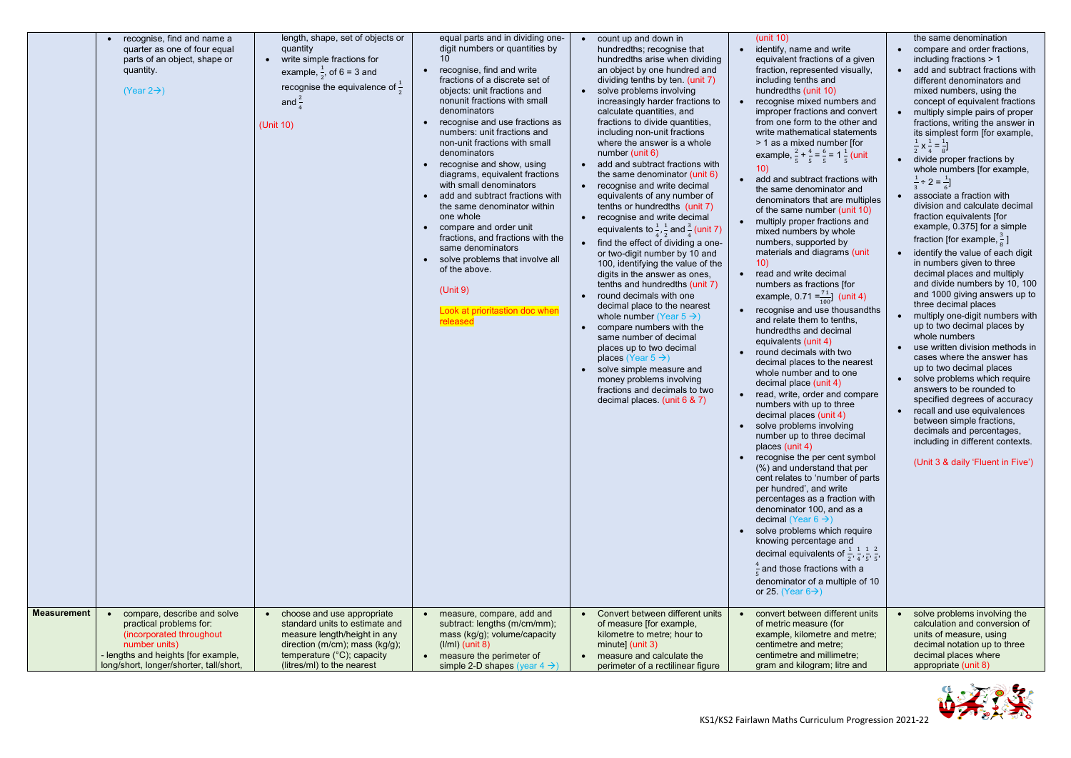

| <b>Measurement</b> | recognise, find and name a<br>quarter as one of four equal<br>parts of an object, shape or<br>quantity.<br>$(Year 2 \rightarrow)$<br>compare, describe and solve | length, shape, set of objects or<br>quantity<br>write simple fractions for<br>$\bullet$<br>example, $\frac{1}{2}$ , of 6 = 3 and<br>recognise the equivalence of $\frac{1}{2}$<br>and $\frac{2}{1}$<br>(Unit 10)<br>choose and use appropriate<br>$\bullet$ | equal parts and in dividing one-<br>digit numbers or quantities by<br>10<br>• recognise, find and write<br>fractions of a discrete set of<br>objects: unit fractions and<br>nonunit fractions with small<br>denominators<br>recognise and use fractions as<br>numbers: unit fractions and<br>non-unit fractions with small<br>denominators<br>recognise and show, using<br>diagrams, equivalent fractions<br>with small denominators<br>add and subtract fractions with<br>the same denominator within<br>one whole<br>compare and order unit<br>fractions, and fractions with the<br>same denominators<br>solve problems that involve all<br>of the above.<br>(Unit 9)<br>Look at prioritastion doc when<br>released<br>• measure, compare, add and | count up and down in<br>hundredths; recognise that<br>hundredths arise when dividing<br>an object by one hundred and<br>dividing tenths by ten. (unit 7)<br>• solve problems involving<br>increasingly harder fractions to<br>calculate quantities, and<br>fractions to divide quantities,<br>including non-unit fractions<br>where the answer is a whole<br>number (unit 6)<br>add and subtract fractions with<br>$\bullet$<br>the same denominator (unit 6)<br>recognise and write decimal<br>$\bullet$<br>equivalents of any number of<br>tenths or hundredths (unit 7)<br>recognise and write decimal<br>$\bullet$<br>equivalents to $\frac{1}{4}$ , $\frac{1}{2}$ and $\frac{3}{4}$ (unit 7)<br>find the effect of dividing a one-<br>$\bullet$<br>or two-digit number by 10 and<br>100, identifying the value of the<br>digits in the answer as ones,<br>tenths and hundredths (unit 7)<br>round decimals with one<br>$\bullet$<br>decimal place to the nearest<br>whole number (Year $5 \rightarrow$ )<br>compare numbers with the<br>$\bullet$<br>same number of decimal<br>places up to two decimal<br>places (Year $5 \rightarrow$ )<br>solve simple measure and<br>$\bullet$<br>money problems involving<br>fractions and decimals to two<br>decimal places. (unit 6 & 7)<br>Convert between different units | (unit $10$ )<br>identify, name and write<br>equivalent fractions of a given<br>fraction, represented visually,<br>including tenths and<br>hundredths (unit 10)<br>recognise mixed numbers and<br>improper fractions and convert<br>from one form to the other and<br>write mathematical statements<br>> 1 as a mixed number [for<br>example, $\frac{2}{5} + \frac{4}{5} = \frac{6}{5} = 1 \frac{1}{5}$ (unit<br>10)<br>add and subtract fractions with<br>the same denominator and<br>denominators that are multiples<br>of the same number (unit 10)<br>multiply proper fractions and<br>mixed numbers by whole<br>numbers, supported by<br>materials and diagrams (unit<br>10)<br>read and write decimal<br>numbers as fractions [for<br>example, 0.71 = $\frac{71}{100}$ (unit 4)<br>recognise and use thousandths<br>and relate them to tenths,<br>hundredths and decimal<br>equivalents (unit 4)<br>round decimals with two<br>decimal places to the nearest<br>whole number and to one<br>decimal place (unit 4)<br>read, write, order and compare<br>numbers with up to three<br>decimal places (unit 4)<br>• solve problems involving<br>number up to three decimal<br>places (unit 4)<br>recognise the per cent symbol<br>$\bullet$<br>(%) and understand that per<br>cent relates to 'number of parts<br>per hundred', and write<br>percentages as a fraction with<br>denominator 100, and as a<br>decimal (Year $6 \rightarrow$ )<br>solve problems which require<br>$\bullet$<br>knowing percentage and<br>decimal equivalents of $\frac{1}{2}$ , $\frac{1}{4}$ , $\frac{1}{5}$ , $\frac{2}{5}$ ,<br>$\frac{4}{5}$ and those fractions with a<br>denominator of a multiple of 10<br>or 25. (Year $6\rightarrow$ )<br>convert between different units | the same denomination<br>compare and order fractions,<br>$\bullet$<br>including fractions > 1<br>add and subtract fractions with<br>$\bullet$<br>different denominators and<br>mixed numbers, using the<br>concept of equivalent fractions<br>multiply simple pairs of proper<br>$\bullet$<br>fractions, writing the answer in<br>its simplest form [for example,<br>$\frac{1}{2}$ x $\frac{1}{4}$ = $\frac{1}{8}$ ]<br>divide proper fractions by<br>$\bullet$<br>whole numbers [for example,<br>$\frac{1}{2}$ ÷ 2 = $\frac{1}{2}$ ]<br>associate a fraction with<br>$\bullet$<br>division and calculate decimal<br>fraction equivalents [for<br>example, 0.375] for a simple<br>fraction [for example, $\frac{3}{8}$ ]<br>identify the value of each digit<br>$\bullet$<br>in numbers given to three<br>decimal places and multiply<br>and divide numbers by 10, 100<br>and 1000 giving answers up to<br>three decimal places<br>multiply one-digit numbers with<br>up to two decimal places by<br>whole numbers<br>use written division methods in<br>$\bullet$<br>cases where the answer has<br>up to two decimal places<br>solve problems which require<br>$\bullet$<br>answers to be rounded to<br>specified degrees of accuracy<br>recall and use equivalences<br>$\bullet$<br>between simple fractions,<br>decimals and percentages,<br>including in different contexts.<br>(Unit 3 & daily 'Fluent in Five')<br>solve problems involving the |
|--------------------|------------------------------------------------------------------------------------------------------------------------------------------------------------------|-------------------------------------------------------------------------------------------------------------------------------------------------------------------------------------------------------------------------------------------------------------|------------------------------------------------------------------------------------------------------------------------------------------------------------------------------------------------------------------------------------------------------------------------------------------------------------------------------------------------------------------------------------------------------------------------------------------------------------------------------------------------------------------------------------------------------------------------------------------------------------------------------------------------------------------------------------------------------------------------------------------------------|-------------------------------------------------------------------------------------------------------------------------------------------------------------------------------------------------------------------------------------------------------------------------------------------------------------------------------------------------------------------------------------------------------------------------------------------------------------------------------------------------------------------------------------------------------------------------------------------------------------------------------------------------------------------------------------------------------------------------------------------------------------------------------------------------------------------------------------------------------------------------------------------------------------------------------------------------------------------------------------------------------------------------------------------------------------------------------------------------------------------------------------------------------------------------------------------------------------------------------------------------------------------------------------------------------------------------|------------------------------------------------------------------------------------------------------------------------------------------------------------------------------------------------------------------------------------------------------------------------------------------------------------------------------------------------------------------------------------------------------------------------------------------------------------------------------------------------------------------------------------------------------------------------------------------------------------------------------------------------------------------------------------------------------------------------------------------------------------------------------------------------------------------------------------------------------------------------------------------------------------------------------------------------------------------------------------------------------------------------------------------------------------------------------------------------------------------------------------------------------------------------------------------------------------------------------------------------------------------------------------------------------------------------------------------------------------------------------------------------------------------------------------------------------------------------------------------------------------------------------------------------------------------------------------------------------------------------------------------------------------------------------------------------------------------------------------------------------------------|-------------------------------------------------------------------------------------------------------------------------------------------------------------------------------------------------------------------------------------------------------------------------------------------------------------------------------------------------------------------------------------------------------------------------------------------------------------------------------------------------------------------------------------------------------------------------------------------------------------------------------------------------------------------------------------------------------------------------------------------------------------------------------------------------------------------------------------------------------------------------------------------------------------------------------------------------------------------------------------------------------------------------------------------------------------------------------------------------------------------------------------------------------------------------------------------------------------------------------------------------------------------------------------------------------------------------------------------------------------------------------------------------------------------------------------------------------|
|                    | practical problems for:                                                                                                                                          | standard units to estimate and                                                                                                                                                                                                                              | subtract: lengths (m/cm/mm);                                                                                                                                                                                                                                                                                                                                                                                                                                                                                                                                                                                                                                                                                                                         | of measure [for example,                                                                                                                                                                                                                                                                                                                                                                                                                                                                                                                                                                                                                                                                                                                                                                                                                                                                                                                                                                                                                                                                                                                                                                                                                                                                                                | of metric measure (for                                                                                                                                                                                                                                                                                                                                                                                                                                                                                                                                                                                                                                                                                                                                                                                                                                                                                                                                                                                                                                                                                                                                                                                                                                                                                                                                                                                                                                                                                                                                                                                                                                                                                                                                           | calculation and conversion of                                                                                                                                                                                                                                                                                                                                                                                                                                                                                                                                                                                                                                                                                                                                                                                                                                                                                                                                                                                                                                                                                                                                                                                                                                                                                                                                                                                                                         |
|                    | (incorporated throughout                                                                                                                                         | measure length/height in any                                                                                                                                                                                                                                | mass (kg/g); volume/capacity                                                                                                                                                                                                                                                                                                                                                                                                                                                                                                                                                                                                                                                                                                                         | kilometre to metre; hour to                                                                                                                                                                                                                                                                                                                                                                                                                                                                                                                                                                                                                                                                                                                                                                                                                                                                                                                                                                                                                                                                                                                                                                                                                                                                                             | example, kilometre and metre;                                                                                                                                                                                                                                                                                                                                                                                                                                                                                                                                                                                                                                                                                                                                                                                                                                                                                                                                                                                                                                                                                                                                                                                                                                                                                                                                                                                                                                                                                                                                                                                                                                                                                                                                    | units of measure, using                                                                                                                                                                                                                                                                                                                                                                                                                                                                                                                                                                                                                                                                                                                                                                                                                                                                                                                                                                                                                                                                                                                                                                                                                                                                                                                                                                                                                               |
|                    | number units)                                                                                                                                                    | direction (m/cm); mass (kg/g);                                                                                                                                                                                                                              | $(1/ml)$ (unit 8)                                                                                                                                                                                                                                                                                                                                                                                                                                                                                                                                                                                                                                                                                                                                    | minute] $(unit 3)$                                                                                                                                                                                                                                                                                                                                                                                                                                                                                                                                                                                                                                                                                                                                                                                                                                                                                                                                                                                                                                                                                                                                                                                                                                                                                                      | centimetre and metre;                                                                                                                                                                                                                                                                                                                                                                                                                                                                                                                                                                                                                                                                                                                                                                                                                                                                                                                                                                                                                                                                                                                                                                                                                                                                                                                                                                                                                                                                                                                                                                                                                                                                                                                                            | decimal notation up to three                                                                                                                                                                                                                                                                                                                                                                                                                                                                                                                                                                                                                                                                                                                                                                                                                                                                                                                                                                                                                                                                                                                                                                                                                                                                                                                                                                                                                          |
|                    | - lengths and heights [for example,                                                                                                                              | temperature (°C); capacity                                                                                                                                                                                                                                  | • measure the perimeter of                                                                                                                                                                                                                                                                                                                                                                                                                                                                                                                                                                                                                                                                                                                           | measure and calculate the                                                                                                                                                                                                                                                                                                                                                                                                                                                                                                                                                                                                                                                                                                                                                                                                                                                                                                                                                                                                                                                                                                                                                                                                                                                                                               | centimetre and millimetre;                                                                                                                                                                                                                                                                                                                                                                                                                                                                                                                                                                                                                                                                                                                                                                                                                                                                                                                                                                                                                                                                                                                                                                                                                                                                                                                                                                                                                                                                                                                                                                                                                                                                                                                                       | decimal places where                                                                                                                                                                                                                                                                                                                                                                                                                                                                                                                                                                                                                                                                                                                                                                                                                                                                                                                                                                                                                                                                                                                                                                                                                                                                                                                                                                                                                                  |
|                    | long/short, longer/shorter, tall/short,                                                                                                                          | (litres/ml) to the nearest                                                                                                                                                                                                                                  | simple 2-D shapes (year $4 \rightarrow$ )                                                                                                                                                                                                                                                                                                                                                                                                                                                                                                                                                                                                                                                                                                            | perimeter of a rectilinear figure                                                                                                                                                                                                                                                                                                                                                                                                                                                                                                                                                                                                                                                                                                                                                                                                                                                                                                                                                                                                                                                                                                                                                                                                                                                                                       | gram and kilogram; litre and                                                                                                                                                                                                                                                                                                                                                                                                                                                                                                                                                                                                                                                                                                                                                                                                                                                                                                                                                                                                                                                                                                                                                                                                                                                                                                                                                                                                                                                                                                                                                                                                                                                                                                                                     | appropriate (unit 8)                                                                                                                                                                                                                                                                                                                                                                                                                                                                                                                                                                                                                                                                                                                                                                                                                                                                                                                                                                                                                                                                                                                                                                                                                                                                                                                                                                                                                                  |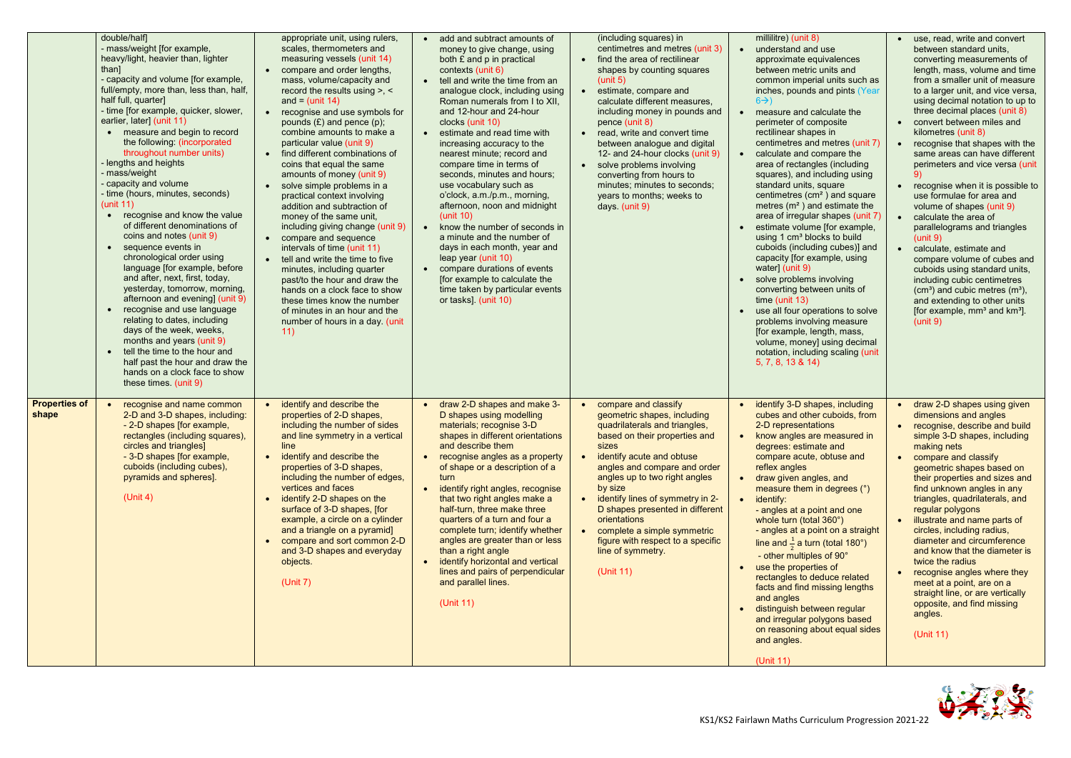

|                               | double/half]<br>- mass/weight [for example,<br>heavy/light, heavier than, lighter<br>than]<br>- capacity and volume [for example,<br>full/empty, more than, less than, half,<br>half full, quarter]<br>- time [for example, quicker, slower,<br>earlier, later] (unit 11)<br>• measure and begin to record<br>the following: (incorporated<br>throughout number units)<br>lengths and heights<br>mass/weight<br>capacity and volume<br>- time (hours, minutes, seconds)<br>(unit 11)<br>recognise and know the value<br>$\bullet$<br>of different denominations of<br>coins and notes (unit 9)<br>sequence events in<br>$\bullet$<br>chronological order using<br>language [for example, before<br>and after, next, first, today,<br>yesterday, tomorrow, morning,<br>afternoon and evening] (unit 9)<br>recognise and use language<br>relating to dates, including<br>days of the week, weeks,<br>months and years (unit 9)<br>tell the time to the hour and<br>half past the hour and draw the<br>hands on a clock face to show<br>these times. (unit 9) | appropriate unit, using rulers,<br>scales, thermometers and<br>measuring vessels (unit 14)<br>compare and order lengths,<br>$\bullet$<br>mass, volume/capacity and<br>record the results using >, <<br>and = $(unit 14)$<br>recognise and use symbols for<br>$\bullet$<br>pounds $(E)$ and pence $(p)$ ;<br>combine amounts to make a<br>particular value (unit 9)<br>find different combinations of<br>$\bullet$<br>coins that equal the same<br>amounts of money (unit 9)<br>solve simple problems in a<br>$\bullet$<br>practical context involving<br>addition and subtraction of<br>money of the same unit,<br>including giving change (unit 9)<br>• compare and sequence<br>intervals of time (unit 11)<br>tell and write the time to five<br>$\bullet$<br>minutes, including quarter<br>past/to the hour and draw the<br>hands on a clock face to show<br>these times know the number<br>of minutes in an hour and the<br>number of hours in a day. (unit<br>11) | add and subtract amounts of<br>money to give change, using<br>both £ and p in practical<br>contexts (unit 6)<br>• tell and write the time from an<br>analogue clock, including using<br>Roman numerals from I to XII,<br>and 12-hour and 24-hour<br>clocks (unit 10)<br>estimate and read time with<br>increasing accuracy to the<br>nearest minute; record and<br>compare time in terms of<br>seconds, minutes and hours;<br>use vocabulary such as<br>o'clock, a.m./p.m., morning,<br>afternoon, noon and midnight<br>(unit 10)<br>• know the number of seconds in<br>a minute and the number of<br>days in each month, year and<br>leap year (unit 10)<br>compare durations of events<br>$\bullet$<br>[for example to calculate the<br>time taken by particular events<br>or tasks]. (unit 10) | (including squares) in<br>centimetres and metres (unit 3)<br>find the area of rectilinear<br>$\bullet$<br>shapes by counting squares<br>(unit 5)<br>estimate, compare and<br>calculate different measures,<br>including money in pounds and<br>pence (unit 8)<br>read, write and convert time<br>$\bullet$<br>between analogue and digital<br>12- and 24-hour clocks (unit 9)<br>solve problems involving<br>$\bullet$<br>converting from hours to<br>minutes; minutes to seconds;<br>years to months; weeks to<br>days. (unit 9) | millilitre) (unit 8)<br>understand and use<br>$\bullet$<br>approximate equivalences<br>between metric units and<br>common imperial units such as<br>inches, pounds and pints (Year<br>$6\rightarrow$<br>measure and calculate the<br>$\bullet$<br>perimeter of composite<br>rectilinear shapes in<br>centimetres and metres (unit 7)<br>• calculate and compare the<br>area of rectangles (including<br>squares), and including using<br>standard units, square<br>centimetres (cm <sup>2</sup> ) and square<br>metres $(m^2)$ and estimate the<br>area of irregular shapes (unit 7)<br>estimate volume [for example,<br>using 1 cm <sup>3</sup> blocks to build<br>cuboids (including cubes)] and<br>capacity [for example, using<br>water] (unit 9)<br>solve problems involving<br>converting between units of<br>time (unit 13)<br>use all four operations to solve<br>problems involving measure<br>[for example, length, mass,<br>volume, money] using decimal<br>notation, including scaling (unit<br>5, 7, 8, 13 & 14) | use, read, write and convert<br>between standard units,<br>converting measurements of<br>length, mass, volume and time<br>from a smaller unit of measure<br>to a larger unit, and vice versa,<br>using decimal notation to up to<br>three decimal places (unit 8)<br>convert between miles and<br>kilometres (unit 8)<br>recognise that shapes with the<br>same areas can have different<br>perimeters and vice versa (unit<br>• recognise when it is possible to<br>use formulae for area and<br>volume of shapes (unit 9)<br>calculate the area of<br>parallelograms and triangles<br>(unit 9)<br>calculate, estimate and<br>compare volume of cubes and<br>cuboids using standard units,<br>including cubic centimetres<br>$(cm3)$ and cubic metres $(m3)$ ,<br>and extending to other units<br>[for example, mm <sup>3</sup> and km <sup>3</sup> ].<br>(unit 9) |
|-------------------------------|------------------------------------------------------------------------------------------------------------------------------------------------------------------------------------------------------------------------------------------------------------------------------------------------------------------------------------------------------------------------------------------------------------------------------------------------------------------------------------------------------------------------------------------------------------------------------------------------------------------------------------------------------------------------------------------------------------------------------------------------------------------------------------------------------------------------------------------------------------------------------------------------------------------------------------------------------------------------------------------------------------------------------------------------------------|------------------------------------------------------------------------------------------------------------------------------------------------------------------------------------------------------------------------------------------------------------------------------------------------------------------------------------------------------------------------------------------------------------------------------------------------------------------------------------------------------------------------------------------------------------------------------------------------------------------------------------------------------------------------------------------------------------------------------------------------------------------------------------------------------------------------------------------------------------------------------------------------------------------------------------------------------------------------|---------------------------------------------------------------------------------------------------------------------------------------------------------------------------------------------------------------------------------------------------------------------------------------------------------------------------------------------------------------------------------------------------------------------------------------------------------------------------------------------------------------------------------------------------------------------------------------------------------------------------------------------------------------------------------------------------------------------------------------------------------------------------------------------------|-----------------------------------------------------------------------------------------------------------------------------------------------------------------------------------------------------------------------------------------------------------------------------------------------------------------------------------------------------------------------------------------------------------------------------------------------------------------------------------------------------------------------------------|-------------------------------------------------------------------------------------------------------------------------------------------------------------------------------------------------------------------------------------------------------------------------------------------------------------------------------------------------------------------------------------------------------------------------------------------------------------------------------------------------------------------------------------------------------------------------------------------------------------------------------------------------------------------------------------------------------------------------------------------------------------------------------------------------------------------------------------------------------------------------------------------------------------------------------------------------------------------------------------------------------------------------------|---------------------------------------------------------------------------------------------------------------------------------------------------------------------------------------------------------------------------------------------------------------------------------------------------------------------------------------------------------------------------------------------------------------------------------------------------------------------------------------------------------------------------------------------------------------------------------------------------------------------------------------------------------------------------------------------------------------------------------------------------------------------------------------------------------------------------------------------------------------------|
| <b>Properties of</b><br>shape | recognise and name common<br>2-D and 3-D shapes, including:<br>- 2-D shapes [for example,<br>rectangles (including squares),<br>circles and triangles]<br>- 3-D shapes [for example,<br>cuboids (including cubes),<br>pyramids and spheres].<br>(Unit 4)                                                                                                                                                                                                                                                                                                                                                                                                                                                                                                                                                                                                                                                                                                                                                                                                   | identify and describe the<br>$\bullet$<br>properties of 2-D shapes,<br>including the number of sides<br>and line symmetry in a vertical<br>line<br>identify and describe the<br>$\bullet$<br>properties of 3-D shapes,<br>including the number of edges,<br>vertices and faces<br>identify 2-D shapes on the<br>$\bullet$<br>surface of 3-D shapes, [for<br>example, a circle on a cylinder<br>and a triangle on a pyramid]<br>compare and sort common 2-D<br>$\bullet$<br>and 3-D shapes and everyday<br>objects.<br>(Unit 7)                                                                                                                                                                                                                                                                                                                                                                                                                                         | • draw 2-D shapes and make 3-<br>D shapes using modelling<br>materials; recognise 3-D<br>shapes in different orientations<br>and describe them<br>• recognise angles as a property<br>of shape or a description of a<br>turn<br>identify right angles, recognise<br>$\bullet$<br>that two right angles make a<br>half-turn, three make three<br>quarters of a turn and four a<br>complete turn; identify whether<br>angles are greater than or less<br>than a right angle<br>• identify horizontal and vertical<br>lines and pairs of perpendicular<br>and parallel lines.<br>(Unit 11)                                                                                                                                                                                                           | compare and classify<br>$\bullet$<br>geometric shapes, including<br>quadrilaterals and triangles,<br>based on their properties and<br>sizes<br>identify acute and obtuse<br>angles and compare and order<br>angles up to two right angles<br>by size<br>identify lines of symmetry in 2-<br>D shapes presented in different<br>orientations<br>complete a simple symmetric<br>figure with respect to a specific<br>line of symmetry.<br>(Unit 11)                                                                                 | identify 3-D shapes, including<br>$\bullet$<br>cubes and other cuboids, from<br>2-D representations<br>know angles are measured in<br>degrees: estimate and<br>compare acute, obtuse and<br>reflex angles<br>• draw given angles, and<br>measure them in degrees (°)<br>$\bullet$ identify:<br>- angles at a point and one<br>whole turn (total 360°)<br>- angles at a point on a straight<br>line and $\frac{1}{2}$ a turn (total 180°)<br>- other multiples of 90°<br>use the properties of<br>$\bullet$<br>rectangles to deduce related<br>facts and find missing lengths<br>and angles<br>distinguish between regular<br>and irregular polygons based<br>on reasoning about equal sides<br>and angles.<br>(Unit 11)                                                                                                                                                                                                                                                                                                       | • draw 2-D shapes using given<br>dimensions and angles<br>• recognise, describe and build<br>simple 3-D shapes, including<br>making nets<br>compare and classify<br>geometric shapes based on<br>their properties and sizes and<br>find unknown angles in any<br>triangles, quadrilaterals, and<br>regular polygons<br>• illustrate and name parts of<br>circles, including radius,<br>diameter and circumference<br>and know that the diameter is<br>twice the radius<br>recognise angles where they<br>meet at a point, are on a<br>straight line, or are vertically<br>opposite, and find missing<br>angles.<br>(Unit 11)                                                                                                                                                                                                                                        |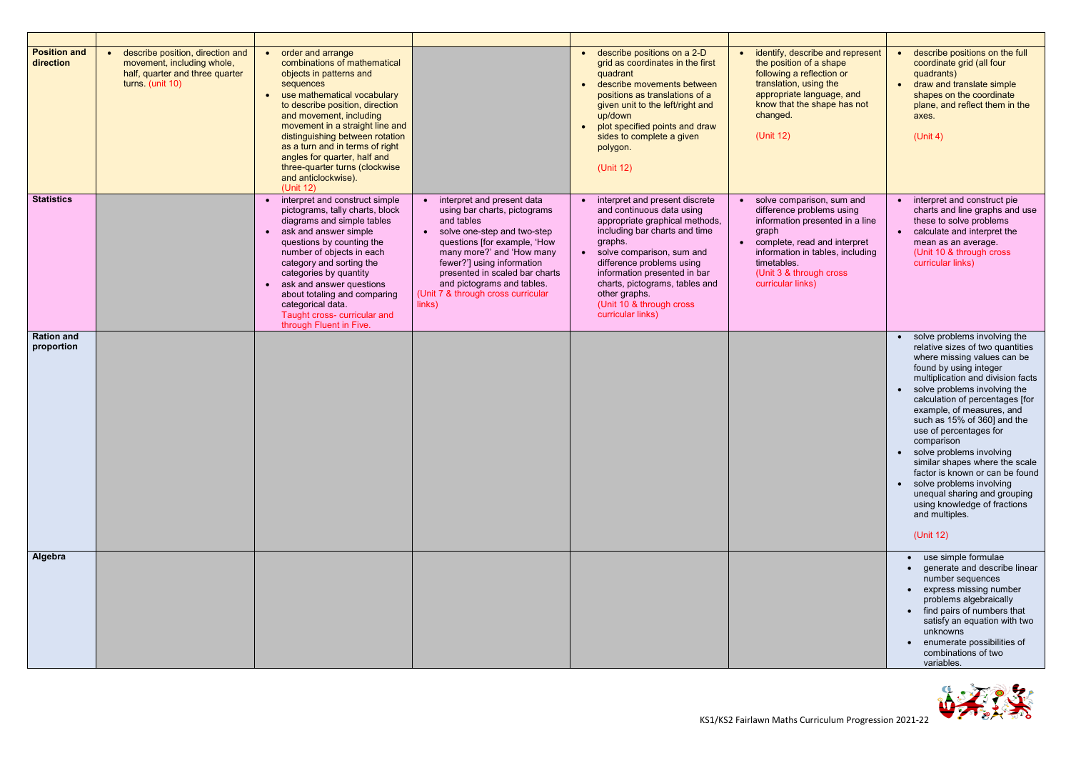

| <b>Position and</b><br>direction | describe position, direction and<br>$\bullet$<br>movement, including whole,<br>half, quarter and three quarter<br>turns. (unit 10) | order and arrange<br>combinations of mathematical<br>objects in patterns and<br>sequences<br>use mathematical vocabulary<br>to describe position, direction<br>and movement, including<br>movement in a straight line and<br>distinguishing between rotation<br>as a turn and in terms of right<br>angles for quarter, half and<br>three-quarter turns (clockwise<br>and anticlockwise).<br>(Unit 12) |                                                                                                                                                                                                                                                                                                                                 | • describe positions on a 2-D<br>grid as coordinates in the first<br>quadrant<br>describe movements between<br>$\bullet$<br>positions as translations of a<br>given unit to the left/right and<br>up/down<br>plot specified points and draw<br>sides to complete a given<br>polygon.<br>(Unit 12)                                           | identify, describe and represent<br>$\bullet$<br>the position of a shape<br>following a reflection or<br>translation, using the<br>appropriate language, and<br>know that the shape has not<br>changed.<br>(Unit 12)                                            | describe positions on the full<br>coordinate grid (all four<br>quadrants)<br>draw and translate simple<br>$\bullet$<br>shapes on the coordinate<br>plane, and reflect them in the<br>axes.<br>(Unit 4)                                                                                                                                                                                                                                                                                                                                                                |
|----------------------------------|------------------------------------------------------------------------------------------------------------------------------------|-------------------------------------------------------------------------------------------------------------------------------------------------------------------------------------------------------------------------------------------------------------------------------------------------------------------------------------------------------------------------------------------------------|---------------------------------------------------------------------------------------------------------------------------------------------------------------------------------------------------------------------------------------------------------------------------------------------------------------------------------|---------------------------------------------------------------------------------------------------------------------------------------------------------------------------------------------------------------------------------------------------------------------------------------------------------------------------------------------|-----------------------------------------------------------------------------------------------------------------------------------------------------------------------------------------------------------------------------------------------------------------|-----------------------------------------------------------------------------------------------------------------------------------------------------------------------------------------------------------------------------------------------------------------------------------------------------------------------------------------------------------------------------------------------------------------------------------------------------------------------------------------------------------------------------------------------------------------------|
| <b>Statistics</b>                |                                                                                                                                    | interpret and construct simple<br>pictograms, tally charts, block<br>diagrams and simple tables<br>ask and answer simple<br>$\bullet$<br>questions by counting the<br>number of objects in each<br>category and sorting the<br>categories by quantity<br>ask and answer questions<br>about totaling and comparing<br>categorical data.<br>Taught cross- curricular and<br>through Fluent in Five.     | interpret and present data<br>using bar charts, pictograms<br>and tables<br>solve one-step and two-step<br>$\bullet$<br>questions [for example, 'How<br>many more?' and 'How many<br>fewer?'] using information<br>presented in scaled bar charts<br>and pictograms and tables.<br>(Unit 7 & through cross curricular<br>links) | • interpret and present discrete<br>and continuous data using<br>appropriate graphical methods,<br>including bar charts and time<br>graphs.<br>• solve comparison, sum and<br>difference problems using<br>information presented in bar<br>charts, pictograms, tables and<br>other graphs.<br>(Unit 10 & through cross<br>curricular links) | solve comparison, sum and<br>$\bullet$<br>difference problems using<br>information presented in a line<br>graph<br>complete, read and interpret<br>$\bullet$<br>information in tables, including<br>timetables.<br>(Unit 3 & through cross<br>curricular links) | interpret and construct pie<br>charts and line graphs and use<br>these to solve problems<br>• calculate and interpret the<br>mean as an average.<br>(Unit 10 & through cross<br>curricular links)                                                                                                                                                                                                                                                                                                                                                                     |
| <b>Ration and</b><br>proportion  |                                                                                                                                    |                                                                                                                                                                                                                                                                                                                                                                                                       |                                                                                                                                                                                                                                                                                                                                 |                                                                                                                                                                                                                                                                                                                                             |                                                                                                                                                                                                                                                                 | • solve problems involving the<br>relative sizes of two quantities<br>where missing values can be<br>found by using integer<br>multiplication and division facts<br>solve problems involving the<br>calculation of percentages [for<br>example, of measures, and<br>such as 15% of 360] and the<br>use of percentages for<br>comparison<br>• solve problems involving<br>similar shapes where the scale<br>factor is known or can be found<br>solve problems involving<br>unequal sharing and grouping<br>using knowledge of fractions<br>and multiples.<br>(Unit 12) |
| Algebra                          |                                                                                                                                    |                                                                                                                                                                                                                                                                                                                                                                                                       |                                                                                                                                                                                                                                                                                                                                 |                                                                                                                                                                                                                                                                                                                                             |                                                                                                                                                                                                                                                                 | • use simple formulae<br>• generate and describe linear<br>number sequences<br>• express missing number<br>problems algebraically<br>• find pairs of numbers that<br>satisfy an equation with two<br>unknowns<br>enumerate possibilities of<br>combinations of two<br>variables.                                                                                                                                                                                                                                                                                      |